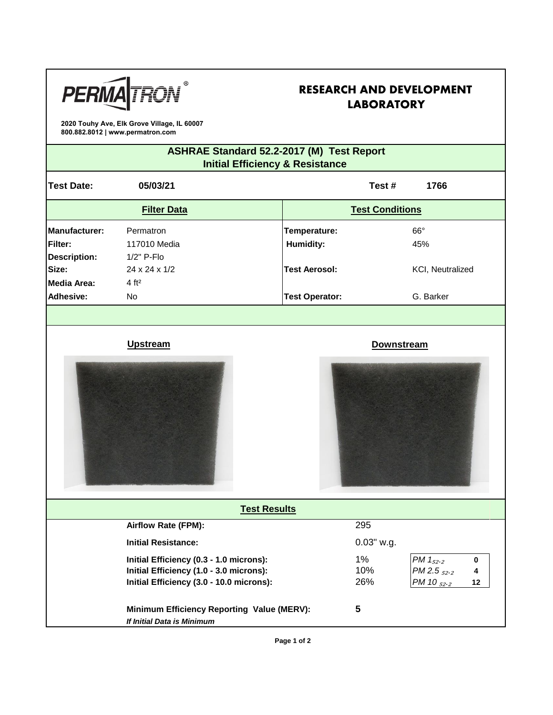

# **RESEARCH AND DEVELOPMENT LABORATORY**

**2020 Touhy Ave, Elk Grove Village, IL 60007 800.882.8012 | www.permatron.com**

## **ASHRAE Standard 52.2-2017 (M) Test Report Initial Efficiency & Resistance**

| <b>Test Date:</b>                                      | 05/03/21                                                                                                                       |  |                           | Test#               | 1766                                                                 |  |  |  |
|--------------------------------------------------------|--------------------------------------------------------------------------------------------------------------------------------|--|---------------------------|---------------------|----------------------------------------------------------------------|--|--|--|
| <b>Filter Data</b>                                     |                                                                                                                                |  | <b>Test Conditions</b>    |                     |                                                                      |  |  |  |
| Manufacturer:<br><b>Filter:</b><br><b>Description:</b> | Permatron<br>117010 Media<br>1/2" P-Flo                                                                                        |  | Temperature:<br>Humidity: |                     | $66^\circ$<br>45%                                                    |  |  |  |
| Size:<br><b>Media Area:</b>                            | 24 x 24 x 1/2<br>4 ft <sup>2</sup>                                                                                             |  | <b>Test Aerosol:</b>      |                     | KCI, Neutralized                                                     |  |  |  |
| <b>Adhesive:</b>                                       | No                                                                                                                             |  | <b>Test Operator:</b>     |                     | G. Barker                                                            |  |  |  |
|                                                        |                                                                                                                                |  |                           |                     |                                                                      |  |  |  |
|                                                        | <b>Upstream</b><br><b>Downstream</b>                                                                                           |  |                           |                     |                                                                      |  |  |  |
|                                                        |                                                                                                                                |  |                           |                     |                                                                      |  |  |  |
|                                                        | <b>Test Results</b>                                                                                                            |  |                           |                     |                                                                      |  |  |  |
|                                                        | Airflow Rate (FPM):                                                                                                            |  |                           | 295                 |                                                                      |  |  |  |
|                                                        | <b>Initial Resistance:</b>                                                                                                     |  |                           | 0.03" w.g.          |                                                                      |  |  |  |
|                                                        | Initial Efficiency (0.3 - 1.0 microns):<br>Initial Efficiency (1.0 - 3.0 microns):<br>Initial Efficiency (3.0 - 10.0 microns): |  |                           | $1\%$<br>10%<br>26% | PM $1_{52 \cdot 2}$<br>0<br>$PM 2.5_{52.2}$<br>4<br>PM 10 52.2<br>12 |  |  |  |
|                                                        | Minimum Efficiency Reporting Value (MERV):<br>If Initial Data is Minimum                                                       |  | 5                         |                     |                                                                      |  |  |  |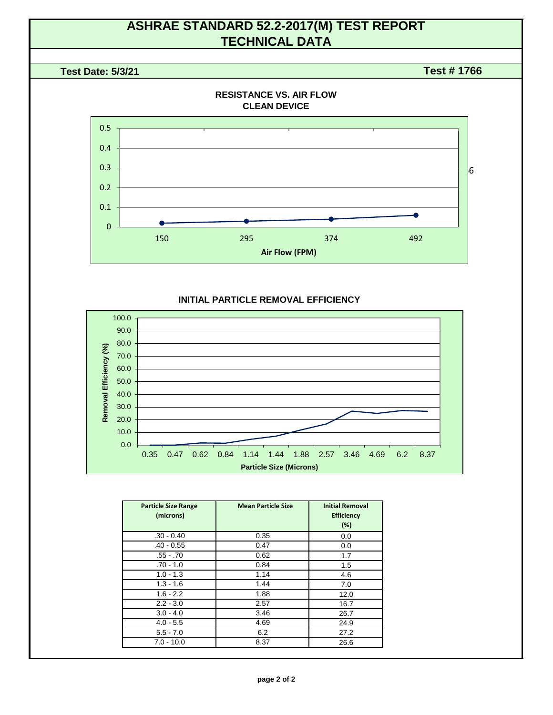# **ASHRAE STANDARD 52.2-2017(M) TEST REPORT TECHNICAL DATA**

#### **Test Date: 5/3/21**

**Test # 1766**



#### **INITIAL PARTICLE REMOVAL EFFICIENCY**



| <b>Particle Size Range</b><br>(microns) | <b>Mean Particle Size</b> | <b>Initial Removal</b><br><b>Efficiency</b><br>(%) |
|-----------------------------------------|---------------------------|----------------------------------------------------|
| $.30 - 0.40$                            | 0.35                      | 0.0                                                |
| $.40 - 0.55$                            | 0.47                      | 0.0                                                |
| $.55 - .70$                             | 0.62                      | 1.7                                                |
| $.70 - 1.0$                             | 0.84                      | 1.5                                                |
| $1.0 - 1.3$                             | 1.14                      | 4.6                                                |
| $1.3 - 1.6$                             | 1.44                      | 7.0                                                |
| $1.6 - 2.2$                             | 1.88                      | 12.0                                               |
| $2.2 - 3.0$                             | 2.57                      | 16.7                                               |
| $3.0 - 4.0$                             | 3.46                      | 26.7                                               |
| $4.0 - 5.5$                             | 4.69                      | 24.9                                               |
| $5.5 - 7.0$                             | 6.2                       | 27.2                                               |
| $7.0 - 10.0$                            | 8.37                      | 26.6                                               |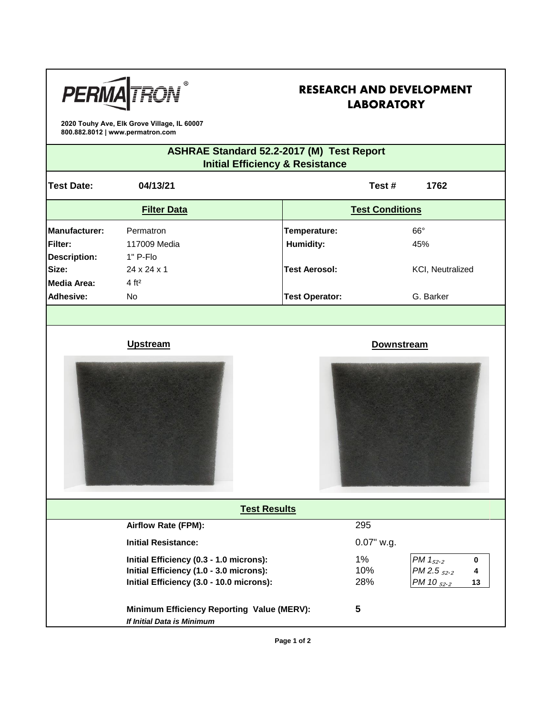

# **RESEARCH AND DEVELOPMENT LABORATORY**

**2020 Touhy Ave, Elk Grove Village, IL 60007 800.882.8012 | www.permatron.com**

## **ASHRAE Standard 52.2-2017 (M) Test Report Initial Efficiency & Resistance**

| <b>Test Date:</b>                                             | 04/13/21                                                                                                                       |                           | Test#<br>1762                                                         |  |
|---------------------------------------------------------------|--------------------------------------------------------------------------------------------------------------------------------|---------------------------|-----------------------------------------------------------------------|--|
| <b>Filter Data</b>                                            |                                                                                                                                | <b>Test Conditions</b>    |                                                                       |  |
| <b>Manufacturer:</b><br><b>Filter:</b><br><b>Description:</b> | Permatron<br>117009 Media<br>1" P-Flo                                                                                          | Temperature:<br>Humidity: | $66^\circ$<br>45%                                                     |  |
| Size:                                                         | $24 \times 24 \times 1$                                                                                                        | <b>Test Aerosol:</b>      | KCI, Neutralized                                                      |  |
| <b>Media Area:</b>                                            | 4 ft <sup>2</sup>                                                                                                              |                           |                                                                       |  |
| <b>Adhesive:</b>                                              | No                                                                                                                             | <b>Test Operator:</b>     | G. Barker                                                             |  |
|                                                               |                                                                                                                                |                           |                                                                       |  |
|                                                               | <b>Upstream</b>                                                                                                                | <b>Downstream</b>         |                                                                       |  |
|                                                               |                                                                                                                                |                           |                                                                       |  |
|                                                               | <b>Test Results</b>                                                                                                            |                           |                                                                       |  |
|                                                               | Airflow Rate (FPM):                                                                                                            | 295                       |                                                                       |  |
|                                                               | <b>Initial Resistance:</b>                                                                                                     | 0.07" w.g.                |                                                                       |  |
|                                                               | Initial Efficiency (0.3 - 1.0 microns):<br>Initial Efficiency (1.0 - 3.0 microns):<br>Initial Efficiency (3.0 - 10.0 microns): | $1\%$<br>10%<br>28%       | PM $1_{52 \cdot 2}$<br>0<br>PM 2.5 $_{52.2}$<br>4<br>PM 10 52.2<br>13 |  |
|                                                               | Minimum Efficiency Reporting Value (MERV):<br>If Initial Data is Minimum                                                       | 5                         |                                                                       |  |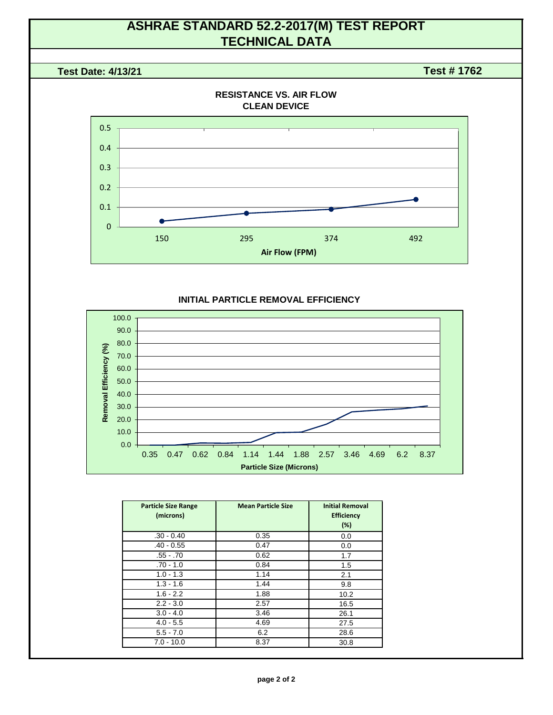# **ASHRAE STANDARD 52.2-2017(M) TEST REPORT TECHNICAL DATA**

#### **Test Date: 4/13/21**

**Test # 1762**



#### **INITIAL PARTICLE REMOVAL EFFICIENCY**



| <b>Particle Size Range</b><br>(microns) | <b>Mean Particle Size</b> | <b>Initial Removal</b><br><b>Efficiency</b><br>(%) |
|-----------------------------------------|---------------------------|----------------------------------------------------|
| $.30 - 0.40$                            | 0.35                      | 0.0                                                |
| $.40 - 0.55$                            | 0.47                      | 0.0                                                |
| $.55 - .70$                             | 0.62                      | 1.7                                                |
| $.70 - 1.0$                             | 0.84                      | 1.5                                                |
| $1.0 - 1.3$                             | 1.14                      | 2.1                                                |
| $1.3 - 1.6$                             | 1.44                      | 9.8                                                |
| $1.6 - 2.2$                             | 1.88                      | 10.2                                               |
| $2.2 - 3.0$                             | 2.57                      | 16.5                                               |
| $3.0 - 4.0$                             | 3.46                      | 26.1                                               |
| $4.0 - 5.5$                             | 4.69                      | 27.5                                               |
| $5.5 - 7.0$                             | 6.2                       | 28.6                                               |
| $7.0 - 10.0$                            | 8.37                      | 30.8                                               |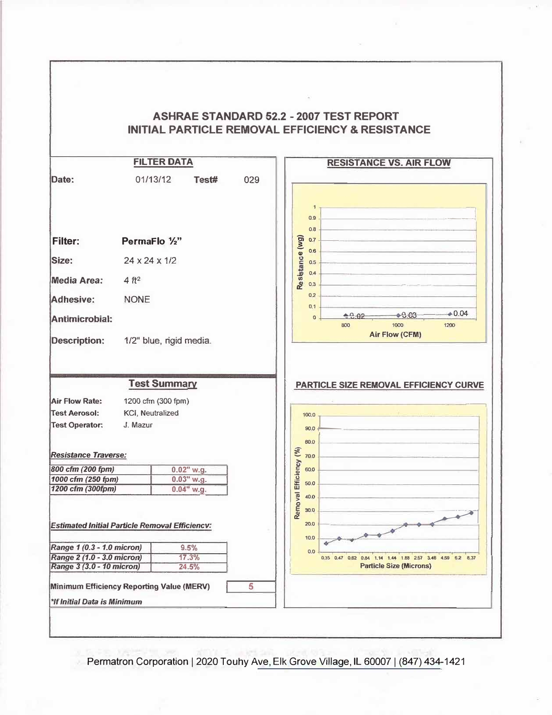

Permatron Corporation | 2020 Touhy Ave, Elk Grove Village, IL 60007 | (847) 434-1421